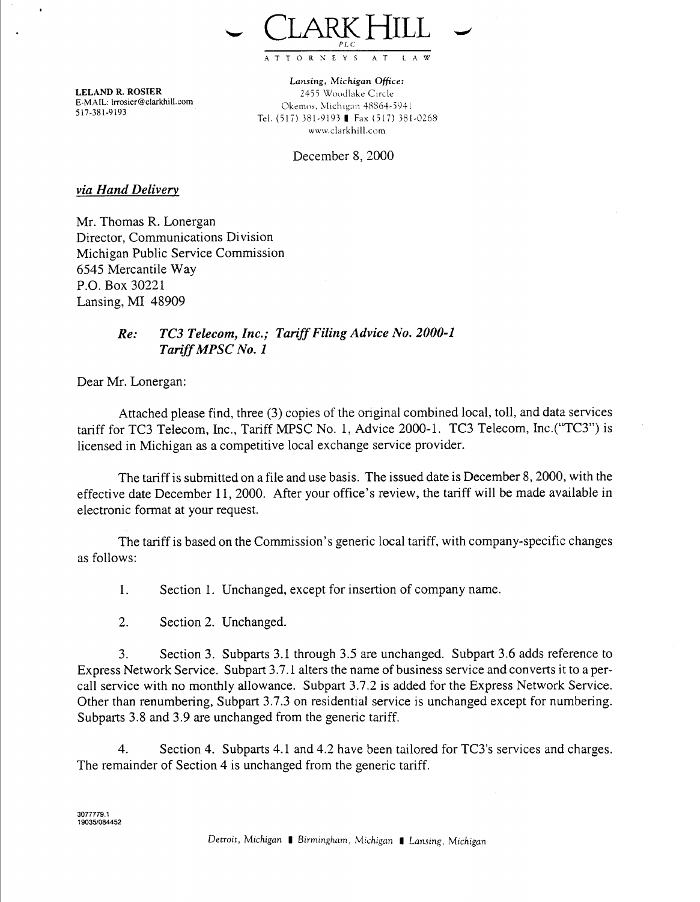

**LELAND R. ROSIER E-MAIL:** Lrrosier@clarkhill.com **517-381-9193** 

**Lansing, Michigan** *Office:*  2455 Woodlake Circle Okemos, Michigan 48864-5941 www.clarkhill.com Tel. (517) 381-9193 **I** Fax (517) 381-0268

December 8,2000

*via Hand Deliven,* 

Mr. Thomas R. Lonergan Director, Communications Division Michigan Public Service Commission 6545 Mercantile Way P.O. Box 30221 Lansing, MI 48909

## *Re: TC3 Telecom, Inc.; Tariff Filing Advice No. 2000-1 Tariff MPSC No. 1*

Dear Mr. Lonergan:

Attached please find, three (3) copies of the original combined local, toll, and data services tariff for TC3 Telecom, Inc., Tariff MPSC No. 1, Advice 2000-1. TC3 Telecom, Inc.("TC3") is licensed in Michigan as a competitive local exchange service provider.

The tariff is submitted on a file and use basis. The issued date is December 8,2000, with the effective date December 11, 2000. After your office's review, the tariff will be made available in electronic format at your request.

The tariff is based on the Commission's generic local tariff, with company-specific changes as follows:

1. Section 1. Unchanged, except for insertion of company name.

2. Section 2. Unchanged.

3. Section **3.** Subparts 3.1 through 3.5 are unchanged. Subpart 3.6 adds reference to Express Network Service. Subpart 3.7.1 alters the name of business service and converts it to a percall service with no monthly allowance. Subpart 3.7.2 is added for the Express Network Service. Other than renumbering, Subpart 3.7.3 on residential service is unchanged except for numbering. Subparts 3.8 and 3.9 are unchanged from the generic tariff.

4. Section **4.** Subparts 4.1 and 4.2 have been tailored for TC3's services and charges. The remainder of Section 4 is unchanged from the generic tariff.

**3077779.1 19035l084452**